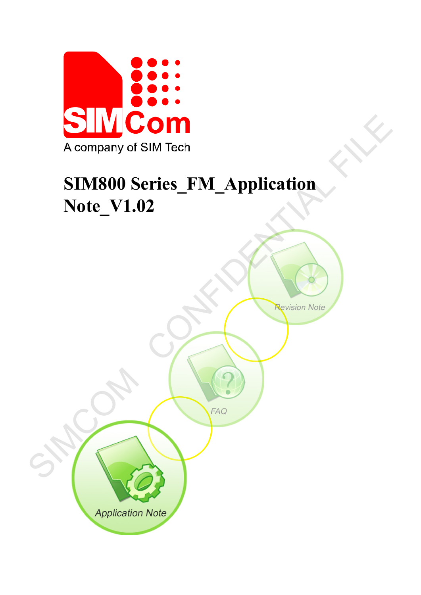

# **SIM800 Series\_FM\_Application Note\_V1.02**

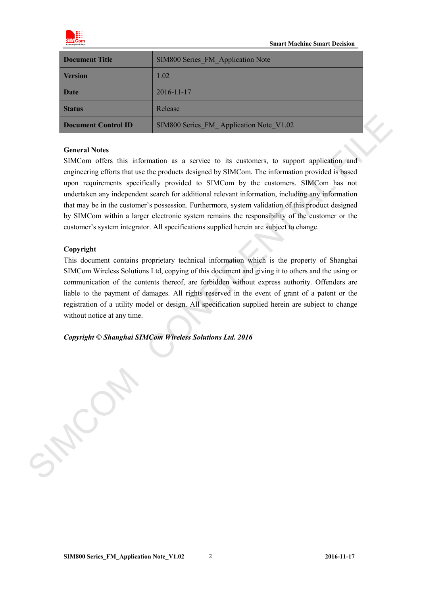

| Document Title      | SIM800 Series FM Application Note       |
|---------------------|-----------------------------------------|
| <b>Version</b>      | 1.02                                    |
| <b>Date</b>         | 2016-11-17                              |
| <b>Status</b>       | Release                                 |
| Document Control ID | SIM800 Series FM Application Note V1.02 |

#### **General Notes**

SIMCom offers this information as a service to its customers, to support application and engineering efforts that use the products designed by SIMCom. The information provided is based upon requirements specifically provided to SIMCom by the customers. SIMCom has not undertaken any independent search for additional relevant information, including any information that may be in the customer's possession. Furthermore, system validation of this product designed by SIMCom within a larger electronic system remains the responsibility of the customer or the customer's system integrator. All specifications supplied herein are subject to change. **Denument Control ID**<br>
SIMS00 Scriets FM. Application Nois, 19.12<br>
General Notes<br>
SIMCom offers this information as a service to its customers, to support application and<br>
engineering efforts that as the protocol designed

#### **Copyright**

This document contains proprietary technical information which is the property of Shanghai SIMCom Wireless Solutions Ltd, copying of this document and giving it to others and the using or communication of the contents thereof, are forbidden without express authority. Offenders are liable to the payment of damages. All rights reserved in the event of grant of a patent or the registration of a utility model or design. All specification supplied herein are subject to change without notice at any time.

*Copyright © Shanghai SIMCom Wireless Solutions Ltd. 2016*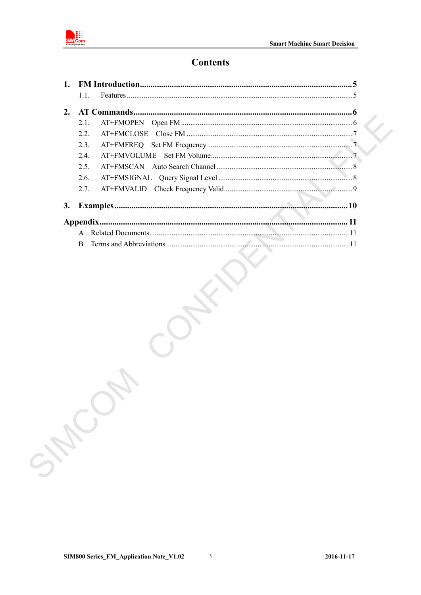

# **Contents**

|    | 1.1.         |  |
|----|--------------|--|
| 2. |              |  |
|    | 2.1.         |  |
|    | 2.2.         |  |
|    | 2.3.         |  |
|    | 2.4.         |  |
|    | 2.5.         |  |
|    | 2.6.         |  |
|    | 2.7.         |  |
| 3. |              |  |
|    |              |  |
|    |              |  |
|    | <sub>R</sub> |  |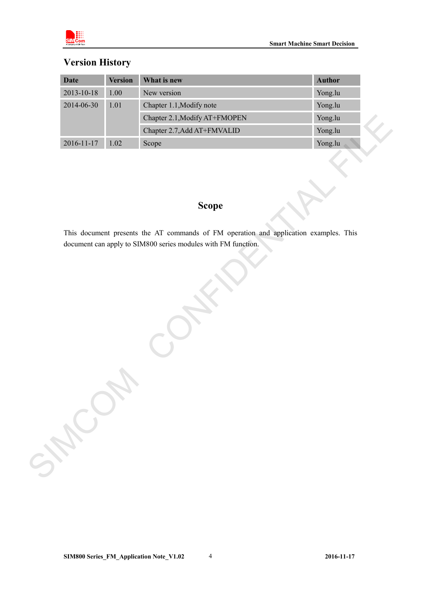

# **Version History**

| <b>Date</b>      | <b>Version</b> | What is new                                                                                           | <b>Author</b> |
|------------------|----------------|-------------------------------------------------------------------------------------------------------|---------------|
| $2013 - 10 - 18$ | 1.00           | New version                                                                                           | Yong.lu       |
| 2014-06-30       | 1.01           | Chapter 1.1, Modify note                                                                              | Yong.lu       |
|                  |                | Chapter 2.1, Modify AT+FMOPEN                                                                         | Yong.lu       |
|                  |                | Chapter 2.7, Add AT+FMVALID                                                                           | Yong.lu       |
| $2016 - 11 - 17$ | $1.02\,$       | Scope                                                                                                 | Yong.lu       |
|                  |                | <b>Scope</b><br>This document presents the AT commands of FM operation and application examples. This |               |
|                  |                |                                                                                                       |               |
| SHOW             |                |                                                                                                       |               |

# **Scope**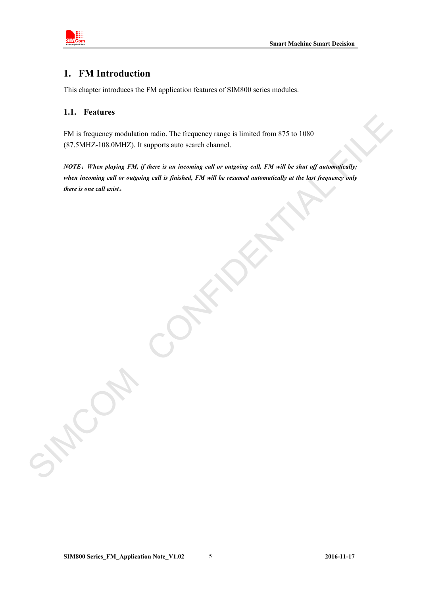

## <span id="page-4-0"></span>**1. FM Introduction**

This chapter introduces the FM application features of SIM800 series modules.

#### <span id="page-4-1"></span>**1.1. Features**

FM is frequency modulation radio. The frequency range is limited from 875 to 1080 (87.5MHZ-108.0MHZ). It supports auto search channel.

*NOTE*:*When playing FM, if there is an incoming call or outgoing call, FM will be shut off automatically; when incoming call or outgoing call is finished, FM will be resumed automatically at the last frequency only there is one call exist*。 EN is frequency modulation radio. The frequency range is limited from 875 to 1080<br>
(87.5MHz/-108.0MHz), it supports anto scarch channel.<br>
NOTE: When playing r3H, if there is us incoming call or outgoing call, PM will be al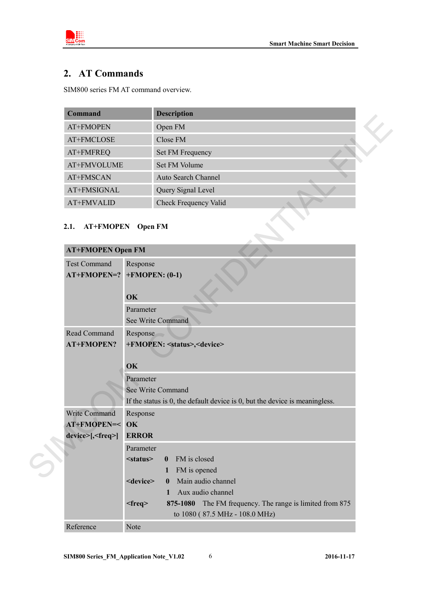

# <span id="page-5-0"></span>**2. AT Commands**

SIM800 series FM AT command overview.

| <b>Command</b> | <b>Description</b>         |  |
|----------------|----------------------------|--|
| AT+FMOPEN      | Open FM                    |  |
| AT+FMCLOSE     | Close FM                   |  |
| AT+FMFREQ      | Set FM Frequency           |  |
| AT+FMVOLUME    | Set FM Volume              |  |
| AT+FMSCAN      | <b>Auto Search Channel</b> |  |
| AT+FMSIGNAL    | Query Signal Level         |  |
| AT+FMVALID     | Check Frequency Valid      |  |

## <span id="page-5-1"></span>**2.1. AT+FMOPEN Open FM**

| Сошшанч                                              |                   | рсэсгірноп                                                                        |
|------------------------------------------------------|-------------------|-----------------------------------------------------------------------------------|
| AT+FMOPEN                                            |                   | Open FM                                                                           |
| AT+FMCLOSE                                           |                   | Close FM                                                                          |
| AT+FMFREQ                                            |                   | Set FM Frequency                                                                  |
| AT+FMVOLUME                                          |                   | Set FM Volume                                                                     |
| AT+FMSCAN                                            |                   | Auto Search Channel                                                               |
| AT+FMSIGNAL                                          |                   | Query Signal Level                                                                |
| AT+FMVALID                                           |                   | <b>Check Frequency Valid</b>                                                      |
| 2.1.<br><b>AT+FMOPEN</b><br><b>AT+FMOPEN Open FM</b> | <b>Open FM</b>    |                                                                                   |
| <b>Test Command</b><br>AT+FMOPEN=?                   | Response<br>OK    | $+$ FMOPEN: (0-1)                                                                 |
|                                                      | Parameter         |                                                                                   |
|                                                      |                   | See Write Command                                                                 |
| Read Command<br><b>AT+FMOPEN?</b>                    | Response          | +FMOPEN: <status>,<device></device></status>                                      |
|                                                      | OK                |                                                                                   |
|                                                      | Parameter         |                                                                                   |
|                                                      |                   | See Write Command                                                                 |
|                                                      |                   | If the status is $0$ , the default device is $0$ , but the device is meaningless. |
| Write Command                                        | Response          |                                                                                   |
| AT+FMOPEN=<                                          | OK                |                                                                                   |
| device>[, <freq>]</freq>                             | <b>ERROR</b>      |                                                                                   |
|                                                      | Parameter         |                                                                                   |
|                                                      | $<$ status $>$    | FM is closed<br>$\bf{0}$                                                          |
|                                                      |                   | FM is opened<br>1                                                                 |
|                                                      | <device></device> | Main audio channel<br>$\bf{0}$                                                    |
|                                                      |                   | Aux audio channel<br>1                                                            |
|                                                      | $<$ freq $>$      | 875-1080<br>The FM frequency. The range is limited from 875                       |
|                                                      |                   | to 1080 (87.5 MHz - 108.0 MHz)                                                    |
| Reference                                            | Note              |                                                                                   |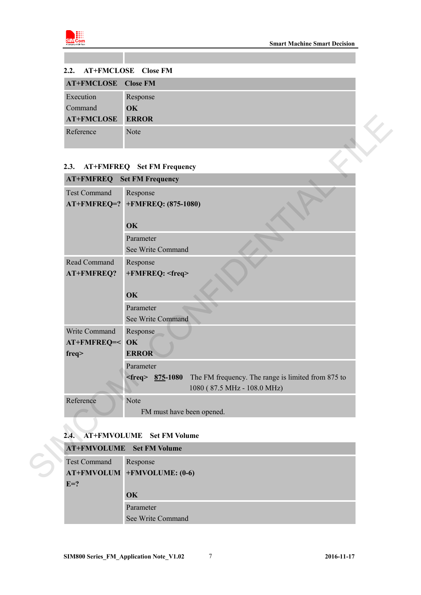

<span id="page-6-0"></span>

| 2.2. AT+FMCLOSE Close FM   |              |
|----------------------------|--------------|
| <b>AT+FMCLOSE</b> Close FM |              |
| Execution                  | Response     |
| Command                    | OK           |
| <b>AT+FMCLOSE</b>          | <b>ERROR</b> |
| Reference                  | Note         |
|                            |              |

## <span id="page-6-1"></span>**2.3. AT+FMFREQ Set FM Frequency**

| <b>AT+FMCLOSE</b>               | <b>ERROR</b>                                                             |
|---------------------------------|--------------------------------------------------------------------------|
| Reference                       | Note                                                                     |
| 2.3.                            | <b>AT+FMFREQ</b> Set FM Frequency                                        |
| AT+FMFREQ                       | <b>Set FM Frequency</b>                                                  |
| <b>Test Command</b>             | Response<br>AT+FMFREQ=? +FMFREQ: (875-1080)                              |
|                                 |                                                                          |
|                                 | OK                                                                       |
|                                 | Parameter<br>See Write Command                                           |
| Read Command                    | Response                                                                 |
| AT+FMFREQ?                      | +FMFREQ: <freq></freq>                                                   |
|                                 |                                                                          |
|                                 | OK                                                                       |
|                                 | Parameter                                                                |
|                                 | See Write Command                                                        |
| Write Command<br>AT+FMFREQ=< OK | Response                                                                 |
| freq                            | <b>ERROR</b>                                                             |
|                                 | Parameter                                                                |
|                                 | $<$ freq> 875-1080<br>The FM frequency. The range is limited from 875 to |
|                                 | 1080 (87.5 MHz - 108.0 MHz)                                              |
| Reference                       | Note                                                                     |
|                                 | FM must have been opened.                                                |
| 2.4.                            | <b>AT+FMVOLUME</b> Set FM Volume                                         |
|                                 | <b>AT+FMVOLUME</b> Set FM Volume                                         |
| <b>Test Command</b>             | Response                                                                 |
|                                 | AT+FMVOLUM +FMVOLUME: (0-6)                                              |

#### <span id="page-6-2"></span>**2.4. AT+FMVOLUME Set FM Volume**

|                     | <b>AT+FMVOLUME</b> Set FM Volume |
|---------------------|----------------------------------|
| <b>Test Command</b> | Response                         |
|                     | AT+FMVOLUM +FMVOLUME: (0-6)      |
| $E=?$               |                                  |
|                     | $\overline{\textbf{OK}}$         |
|                     | Parameter                        |
|                     | See Write Command                |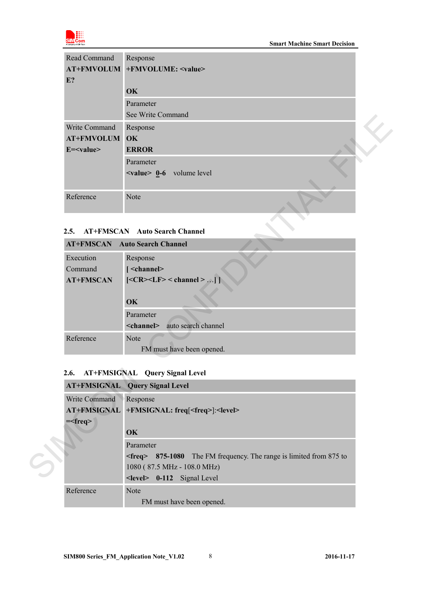

| Read Command<br>$E$ ? | Response<br>AT+FMVOLUM +FMVOLUME: <value></value> |  |
|-----------------------|---------------------------------------------------|--|
|                       | OK                                                |  |
|                       | Parameter                                         |  |
|                       | See Write Command                                 |  |
| Write Command         | Response                                          |  |
| <b>AT+FMVOLUM</b>     | OK                                                |  |
| $E = value$           | <b>ERROR</b>                                      |  |
|                       | Parameter                                         |  |
|                       | $\langle$ value $\geq$ 0-6 volume level           |  |
|                       |                                                   |  |
| Reference             | <b>Note</b>                                       |  |

## <span id="page-7-0"></span>**2.5. AT+FMSCAN Auto Search Channel**

|                    | See write Command                                                         |
|--------------------|---------------------------------------------------------------------------|
| Write Command      | Response                                                                  |
| <b>AT+FMVOLUM</b>  | OK                                                                        |
| E= <value></value> | <b>ERROR</b>                                                              |
|                    | Parameter                                                                 |
|                    | $\langle$ value $\rangle$ 0-6 volume level                                |
|                    |                                                                           |
| Reference          | Note                                                                      |
|                    |                                                                           |
|                    |                                                                           |
| 2.5.               | <b>AT+FMSCAN</b> Auto Search Channel                                      |
|                    | <b>AT+FMSCAN</b> Auto Search Channel                                      |
| Execution          | Response                                                                  |
| Command            | [ <channel></channel>                                                     |
| <b>AT+FMSCAN</b>   | $[<\!\!CR\!\!>\!\!<\!\!LF\!\!> <$ channel $>$                             |
|                    |                                                                           |
|                    | OK                                                                        |
|                    | Parameter                                                                 |
|                    | <channel><br/>auto search channel</channel>                               |
| Reference          | Note                                                                      |
|                    | FM must have been opened.                                                 |
|                    |                                                                           |
| 2.6.               | AT+FMSIGNAL Query Signal Level                                            |
|                    | <b>AT+FMSIGNAL</b> Query Signal Level                                     |
| Write Command      | Response                                                                  |
|                    | AT+FMSIGNAL +FMSIGNAL: freq[ <freq>]:<level></level></freq>               |
| $=\text{freq}$     |                                                                           |
|                    | OK                                                                        |
|                    | Parameter                                                                 |
|                    | <freq> 875-1080 The FM frequency. The range is limited from 875 to</freq> |
|                    |                                                                           |
|                    | 1080 (87.5 MHz - 108.0 MHz)                                               |

## <span id="page-7-1"></span>**2.6. AT+FMSIGNAL Query Signal Level**

|                    | <b>AT+FMSIGNAL</b> Query Signal Level                                |
|--------------------|----------------------------------------------------------------------|
| Write Command      | Response                                                             |
| <b>AT+FMSIGNAL</b> | +FMSIGNAL: freq[ <freq>]:<level></level></freq>                      |
| $=\text{freq}$     |                                                                      |
|                    | $\alpha$                                                             |
|                    | Parameter                                                            |
|                    | $\epsilon$ = 1080 The FM frequency. The range is limited from 875 to |
|                    | 1080 (87.5 MHz - 108.0 MHz)                                          |
|                    | $\le$ level $>$ 0-112 Signal Level                                   |
| Reference          | <b>Note</b>                                                          |
|                    | FM must have been opened.                                            |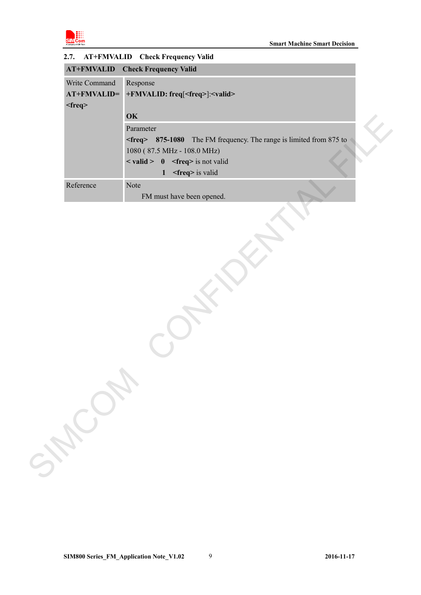<span id="page-8-0"></span>

| Write Command | Response                                                                    |
|---------------|-----------------------------------------------------------------------------|
| AT+FMVALID=   | +FMVALID: freq[ <freq>]:<valid></valid></freq>                              |
| $<$ freq $>$  |                                                                             |
|               | OK                                                                          |
|               | Parameter                                                                   |
|               | <freq> 875-1080 The FM frequency. The range is limited from 875 to</freq>   |
|               | 1080 (87.5 MHz - 108.0 MHz)                                                 |
|               | $\langle \text{valid} \rangle$ 0 $\langle \text{freq} \rangle$ is not valid |
|               | <freq> is valid<br/><math>\mathbf{1}</math></freq>                          |
| Reference     | Note                                                                        |
|               | FM must have been opened.                                                   |
|               |                                                                             |
|               |                                                                             |
|               |                                                                             |
|               |                                                                             |
|               |                                                                             |
|               |                                                                             |
|               |                                                                             |
|               |                                                                             |
|               |                                                                             |
|               |                                                                             |
|               |                                                                             |
|               |                                                                             |
|               |                                                                             |
|               |                                                                             |
|               |                                                                             |
|               |                                                                             |
|               |                                                                             |
|               |                                                                             |
|               |                                                                             |
|               |                                                                             |
| SHOWN         |                                                                             |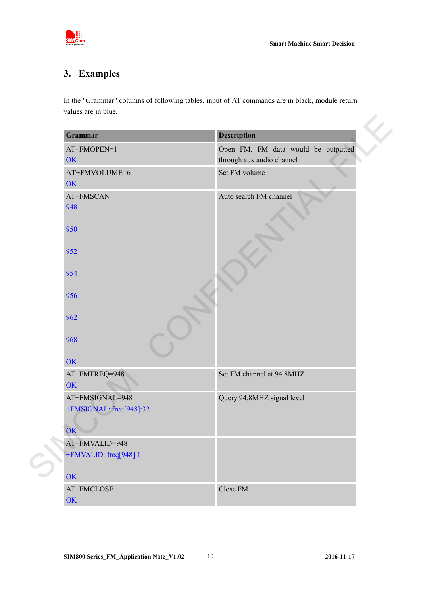

# <span id="page-9-0"></span>**3. Examples**

| <b>Grammar</b>          | <b>Description</b>                  |
|-------------------------|-------------------------------------|
| AT+FMOPEN=1             | Open FM. FM data would be outputted |
| OK                      | through aux audio channel           |
| AT+FMVOLUME=6           | Set FM volume                       |
| OK                      |                                     |
| AT+FMSCAN               | Auto search FM channel              |
| 948                     |                                     |
|                         |                                     |
| 950                     |                                     |
| 952                     |                                     |
|                         |                                     |
| 954                     |                                     |
|                         |                                     |
| 956                     |                                     |
|                         |                                     |
| 962                     |                                     |
| 968                     |                                     |
|                         |                                     |
| OK                      |                                     |
| AT+FMFREQ=948           | Set FM channel at 94.8MHZ           |
| OK                      |                                     |
| AT+FMSIGNAL=948         | Query 94.8MHZ signal level          |
| +FMSIGNAL: freq[948]:32 |                                     |
|                         |                                     |
| OK                      |                                     |
| AT+FMVALID=948          |                                     |
| +FMVALID: freq[948]:1   |                                     |
| OK                      |                                     |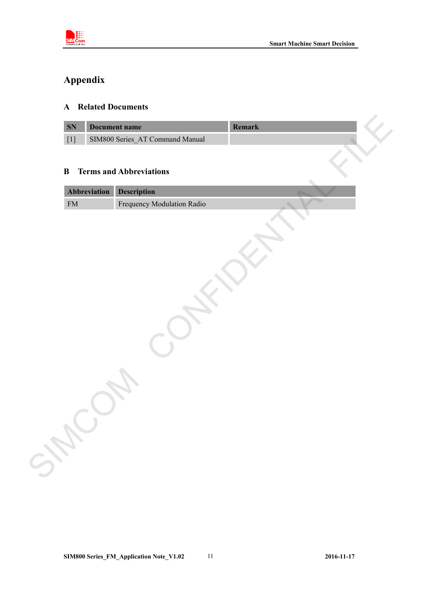

# <span id="page-10-0"></span>**Appendix**

#### <span id="page-10-1"></span>**A Related Documents**

|            |              | SIM800 Series_AT Command Manual |  |  |
|------------|--------------|---------------------------------|--|--|
| $\bf{B}$   |              | <b>Terms and Abbreviations</b>  |  |  |
|            | Abbreviation | <b>Description</b>              |  |  |
| ${\rm FM}$ |              | Frequency Modulation Radio      |  |  |
|            |              |                                 |  |  |
|            |              |                                 |  |  |
|            |              |                                 |  |  |
|            |              |                                 |  |  |
|            |              |                                 |  |  |
|            |              |                                 |  |  |
|            |              |                                 |  |  |
|            |              |                                 |  |  |
|            |              |                                 |  |  |
|            |              |                                 |  |  |
|            |              |                                 |  |  |
|            |              |                                 |  |  |
|            |              |                                 |  |  |
|            |              |                                 |  |  |
|            |              |                                 |  |  |
|            |              |                                 |  |  |
|            |              |                                 |  |  |
|            |              |                                 |  |  |

### <span id="page-10-2"></span>**B Terms and Abbreviations**

| <b>Abbreviation</b> Description |                                   |  |
|---------------------------------|-----------------------------------|--|
| <b>FM</b>                       | <b>Frequency Modulation Radio</b> |  |